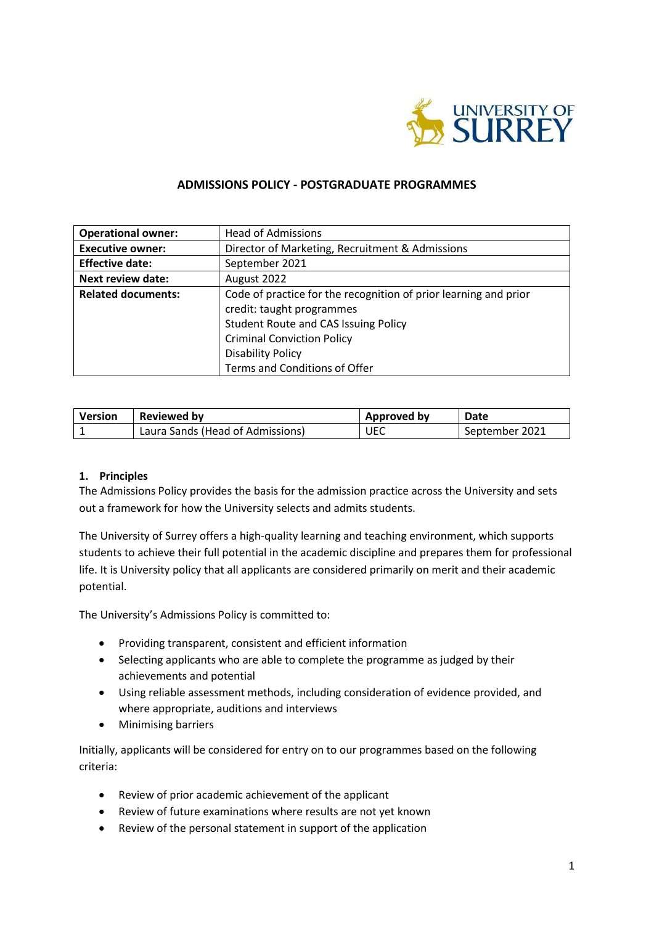

### **ADMISSIONS POLICY - POSTGRADUATE PROGRAMMES**

| <b>Operational owner:</b> | <b>Head of Admissions</b>                                                                                                                                                                                     |  |  |
|---------------------------|---------------------------------------------------------------------------------------------------------------------------------------------------------------------------------------------------------------|--|--|
| <b>Executive owner:</b>   | Director of Marketing, Recruitment & Admissions                                                                                                                                                               |  |  |
| <b>Effective date:</b>    | September 2021                                                                                                                                                                                                |  |  |
| <b>Next review date:</b>  | August 2022                                                                                                                                                                                                   |  |  |
| <b>Related documents:</b> | Code of practice for the recognition of prior learning and prior<br>credit: taught programmes<br><b>Student Route and CAS Issuing Policy</b><br><b>Criminal Conviction Policy</b><br><b>Disability Policy</b> |  |  |
|                           | Terms and Conditions of Offer                                                                                                                                                                                 |  |  |

| <b>Version</b> | Reviewed by                      | <b>Approved by</b> | Date           |
|----------------|----------------------------------|--------------------|----------------|
|                | Laura Sands (Head of Admissions) | <b>UEC</b>         | September 2021 |

#### **1. Principles**

The Admissions Policy provides the basis for the admission practice across the University and sets out a framework for how the University selects and admits students.

The University of Surrey offers a high-quality learning and teaching environment, which supports students to achieve their full potential in the academic discipline and prepares them for professional life. It is University policy that all applicants are considered primarily on merit and their academic potential.

The University's Admissions Policy is committed to:

- Providing transparent, consistent and efficient information
- Selecting applicants who are able to complete the programme as judged by their achievements and potential
- Using reliable assessment methods, including consideration of evidence provided, and where appropriate, auditions and interviews
- Minimising barriers

Initially, applicants will be considered for entry on to our programmes based on the following criteria:

- Review of prior academic achievement of the applicant
- Review of future examinations where results are not yet known
- Review of the personal statement in support of the application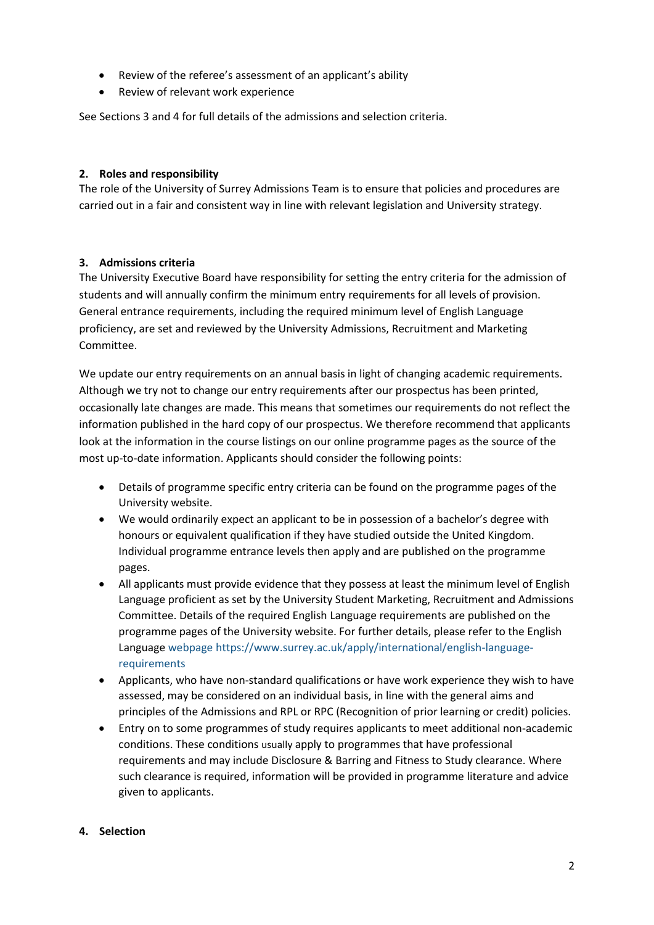- Review of the referee's assessment of an applicant's ability
- Review of relevant work experience

See Sections 3 and 4 for full details of the admissions and selection criteria.

### **2. Roles and responsibility**

The role of the University of Surrey Admissions Team is to ensure that policies and procedures are carried out in a fair and consistent way in line with relevant legislation and University strategy.

# **3. Admissions criteria**

The University Executive Board have responsibility for setting the entry criteria for the admission of students and will annually confirm the minimum entry requirements for all levels of provision. General entrance requirements, including the required minimum level of English Language proficiency, are set and reviewed by the University Admissions, Recruitment and Marketing Committee.

We update our entry requirements on an annual basis in light of changing academic requirements. Although we try not to change our entry requirements after our prospectus has been printed, occasionally late changes are made. This means that sometimes our requirements do not reflect the information published in the hard copy of our prospectus. We therefore recommend that applicants look at the information in the course listings on our online programme pages as the source of the most up-to-date information. Applicants should consider the following points:

- Details of programme specific entry criteria can be found on the programme pages of the University website.
- We would ordinarily expect an applicant to be in possession of a bachelor's degree with honours or equivalent qualification if they have studied outside the United Kingdom. Individual programme entrance levels then apply and are published on the programme pages.
- All applicants must provide evidence that they possess at least the minimum level of English Language proficient as set by the University Student Marketing, Recruitment and Admissions Committee. Details of the required English Language requirements are published on the programme pages of the University website. For further details, please refer to the English Language [webpage](file://///surrey.ac.uk/personal/HS102/rk0026/downloads/webpage) [https://www.surrey.ac.uk/apply/international/english-language](https://www.surrey.ac.uk/apply/international/english-language-requirements)[requirements](https://www.surrey.ac.uk/apply/international/english-language-requirements)
- Applicants, who have non-standard qualifications or have work experience they wish to have assessed, may be considered on an individual basis, in line with the general aims and principles of the Admissions and RPL or RPC (Recognition of prior learning or credit) policies.
- Entry on to some programmes of study requires applicants to meet additional non-academic conditions. These conditions usually apply to programmes that have professional requirements and may include Disclosure & Barring and Fitness to Study clearance. Where such clearance is required, information will be provided in programme literature and advice given to applicants.

### **4. Selection**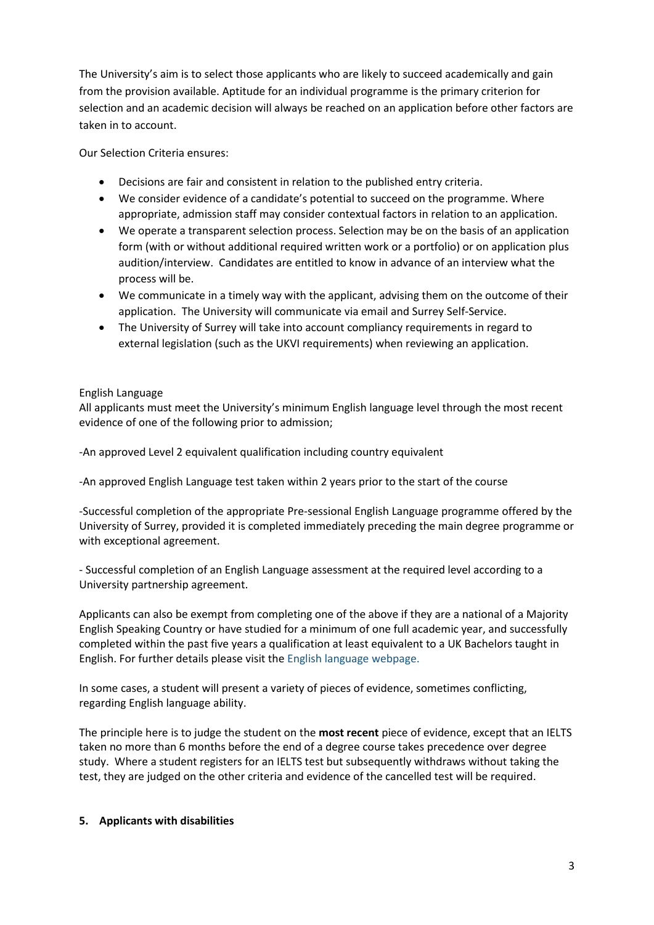The University's aim is to select those applicants who are likely to succeed academically and gain from the provision available. Aptitude for an individual programme is the primary criterion for selection and an academic decision will always be reached on an application before other factors are taken in to account.

Our Selection Criteria ensures:

- Decisions are fair and consistent in relation to the published entry criteria.
- We consider evidence of a candidate's potential to succeed on the programme. Where appropriate, admission staff may consider contextual factors in relation to an application.
- We operate a transparent selection process. Selection may be on the basis of an application form (with or without additional required written work or a portfolio) or on application plus audition/interview. Candidates are entitled to know in advance of an interview what the process will be.
- We communicate in a timely way with the applicant, advising them on the outcome of their application. The University will communicate via email and Surrey Self-Service.
- The University of Surrey will take into account compliancy requirements in regard to external legislation (such as the UKVI requirements) when reviewing an application.

#### English Language

All applicants must meet the University's minimum English language level through the most recent evidence of one of the following prior to admission;

-An approved Level 2 equivalent qualification including country equivalent

-An approved English Language test taken within 2 years prior to the start of the course

-Successful completion of the appropriate Pre-sessional English Language programme offered by the University of Surrey, provided it is completed immediately preceding the main degree programme or with exceptional agreement.

- Successful completion of an English Language assessment at the required level according to a University partnership agreement.

Applicants can also be exempt from completing one of the above if they are a national of a Majority English Speaking Country or have studied for a minimum of one full academic year, and successfully completed within the past five years a qualification at least equivalent to a UK Bachelors taught in English. For further details please visit th[e English language webpage.](https://www.surrey.ac.uk/apply/international/english-language-requirements)

In some cases, a student will present a variety of pieces of evidence, sometimes conflicting, regarding English language ability.

The principle here is to judge the student on the **most recent** piece of evidence, except that an IELTS taken no more than 6 months before the end of a degree course takes precedence over degree study. Where a student registers for an IELTS test but subsequently withdraws without taking the test, they are judged on the other criteria and evidence of the cancelled test will be required.

#### **5. Applicants with disabilities**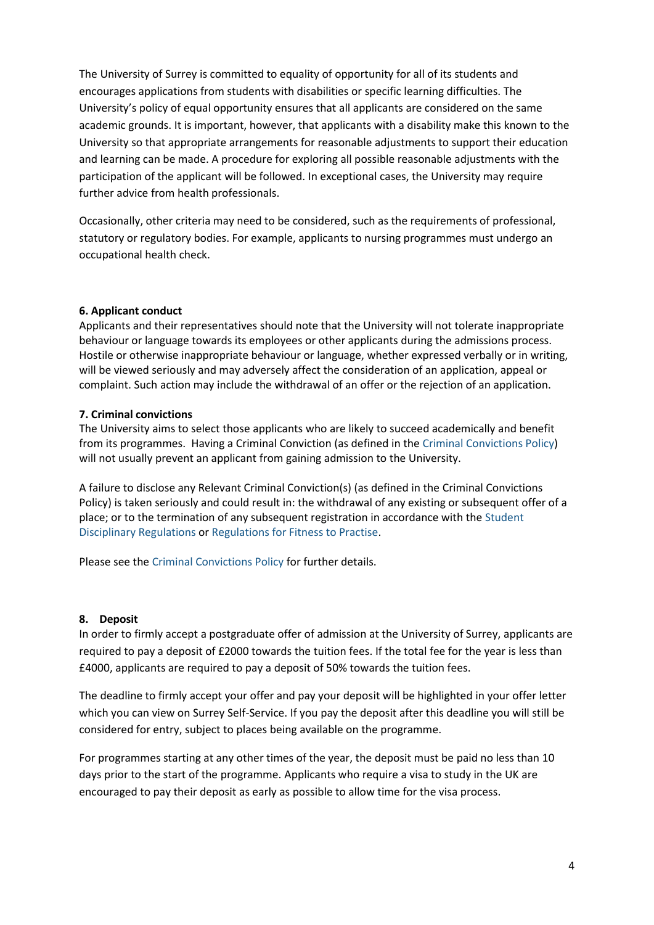The University of Surrey is committed to equality of opportunity for all of its students and encourages applications from students with disabilities or specific learning difficulties. The University's policy of equal opportunity ensures that all applicants are considered on the same academic grounds. It is important, however, that applicants with a disability make this known to the University so that appropriate arrangements for reasonable adjustments to support their education and learning can be made. A procedure for exploring all possible reasonable adjustments with the participation of the applicant will be followed. In exceptional cases, the University may require further advice from health professionals.

Occasionally, other criteria may need to be considered, such as the requirements of professional, statutory or regulatory bodies. For example, applicants to nursing programmes must undergo an occupational health check.

#### **6. Applicant conduct**

Applicants and their representatives should note that the University will not tolerate inappropriate behaviour or language towards its employees or other applicants during the admissions process. Hostile or otherwise inappropriate behaviour or language, whether expressed verbally or in writing, will be viewed seriously and may adversely affect the consideration of an application, appeal or complaint. Such action may include the withdrawal of an offer or the rejection of an application.

#### **7. Criminal convictions**

The University aims to select those applicants who are likely to succeed academically and benefit from its programmes. Having a Criminal Conviction (as defined in th[e Criminal Convictions Policy\)](https://www.surrey.ac.uk/sites/default/files/2019-08/criminal-convictions-policy.pdf) will not usually prevent an applicant from gaining admission to the University.

A failure to disclose any Relevant Criminal Conviction(s) (as defined in the Criminal Convictions Policy) is taken seriously and could result in: the withdrawal of any existing or subsequent offer of a place; or to the termination of any subsequent registration in accordance with th[e Student](http://www.surrey.ac.uk/oscar)  [Disciplinary Regulations](http://www.surrey.ac.uk/oscar) or [Regulations for Fitness to Practise.](http://www.surrey.ac.uk/oscar)

Please see the [Criminal Convictions Policy](https://www.surrey.ac.uk/sites/default/files/2019-08/criminal-convictions-policy.pdf) for further details.

### **8. Deposit**

In order to firmly accept a postgraduate offer of admission at the University of Surrey, applicants are required to pay a deposit of £2000 towards the tuition fees. If the total fee for the year is less than £4000, applicants are required to pay a deposit of 50% towards the tuition fees.

The deadline to firmly accept your offer and pay your deposit will be highlighted in your offer letter which you can view on Surrey Self-Service. If you pay the deposit after this deadline you will still be considered for entry, subject to places being available on the programme.

For programmes starting at any other times of the year, the deposit must be paid no less than 10 days prior to the start of the programme. Applicants who require a visa to study in the UK are encouraged to pay their deposit as early as possible to allow time for the visa process.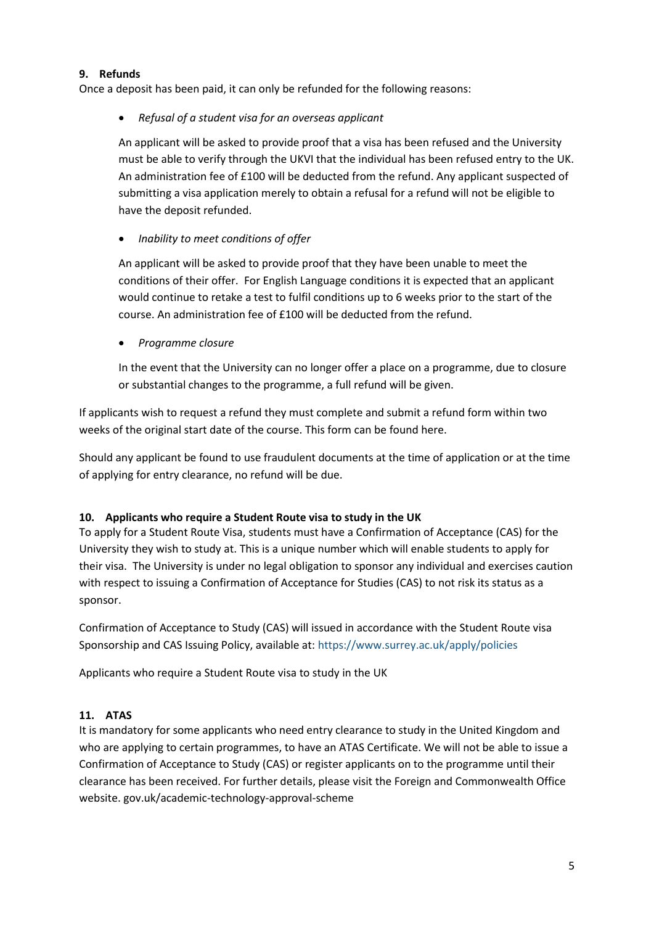### **9. Refunds**

Once a deposit has been paid, it can only be refunded for the following reasons:

• *Refusal of a student visa for an overseas applicant*

An applicant will be asked to provide proof that a visa has been refused and the University must be able to verify through the UKVI that the individual has been refused entry to the UK. An administration fee of £100 will be deducted from the refund. Any applicant suspected of submitting a visa application merely to obtain a refusal for a refund will not be eligible to have the deposit refunded.

• *Inability to meet conditions of offer*

An applicant will be asked to provide proof that they have been unable to meet the conditions of their offer. For English Language conditions it is expected that an applicant would continue to retake a test to fulfil conditions up to 6 weeks prior to the start of the course. An administration fee of £100 will be deducted from the refund.

• *Programme closure*

In the event that the University can no longer offer a place on a programme, due to closure or substantial changes to the programme, a full refund will be given.

If applicants wish to request a refund they must complete and submit a refund form within two weeks of the original start date of the course. This form can be found here.

Should any applicant be found to use fraudulent documents at the time of application or at the time of applying for entry clearance, no refund will be due.

### **10. Applicants who require a Student Route visa to study in the UK**

To apply for a Student Route Visa, students must have a Confirmation of Acceptance (CAS) for the University they wish to study at. This is a unique number which will enable students to apply for their visa. The University is under no legal obligation to sponsor any individual and exercises caution with respect to issuing a Confirmation of Acceptance for Studies (CAS) to not risk its status as a sponsor.

Confirmation of Acceptance to Study (CAS) will issued in accordance with the Student Route visa Sponsorship and CAS Issuing Policy, available at:<https://www.surrey.ac.uk/apply/policies>

Applicants who require a Student Route visa to study in the UK

# **11. ATAS**

It is mandatory for some applicants who need entry clearance to study in the United Kingdom and who are applying to certain programmes, to have an ATAS Certificate. We will not be able to issue a Confirmation of Acceptance to Study (CAS) or register applicants on to the programme until their clearance has been received. For further details, please visit the Foreign and Commonwealth Office website. gov.uk/academic-technology-approval-scheme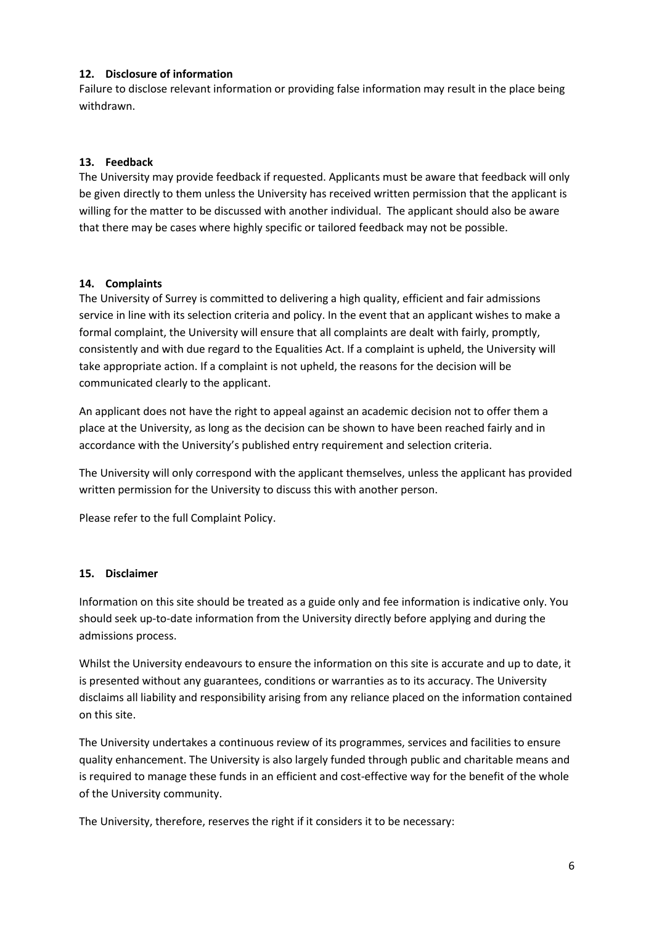### **12. Disclosure of information**

Failure to disclose relevant information or providing false information may result in the place being withdrawn.

# **13. Feedback**

The University may provide feedback if requested. Applicants must be aware that feedback will only be given directly to them unless the University has received written permission that the applicant is willing for the matter to be discussed with another individual. The applicant should also be aware that there may be cases where highly specific or tailored feedback may not be possible.

### **14. Complaints**

The University of Surrey is committed to delivering a high quality, efficient and fair admissions service in line with its selection criteria and policy. In the event that an applicant wishes to make a formal complaint, the University will ensure that all complaints are dealt with fairly, promptly, consistently and with due regard to the Equalities Act. If a complaint is upheld, the University will take appropriate action. If a complaint is not upheld, the reasons for the decision will be communicated clearly to the applicant.

An applicant does not have the right to appeal against an academic decision not to offer them a place at the University, as long as the decision can be shown to have been reached fairly and in accordance with the University's published entry requirement and selection criteria.

The University will only correspond with the applicant themselves, unless the applicant has provided written permission for the University to discuss this with another person.

Please refer to the full Complaint Policy.

### **15. Disclaimer**

Information on this site should be treated as a guide only and fee information is indicative only. You should seek up-to-date information from the University directly before applying and during the admissions process.

Whilst the University endeavours to ensure the information on this site is accurate and up to date, it is presented without any guarantees, conditions or warranties as to its accuracy. The University disclaims all liability and responsibility arising from any reliance placed on the information contained on this site.

The University undertakes a continuous review of its programmes, services and facilities to ensure quality enhancement. The University is also largely funded through public and charitable means and is required to manage these funds in an efficient and cost-effective way for the benefit of the whole of the University community.

The University, therefore, reserves the right if it considers it to be necessary: